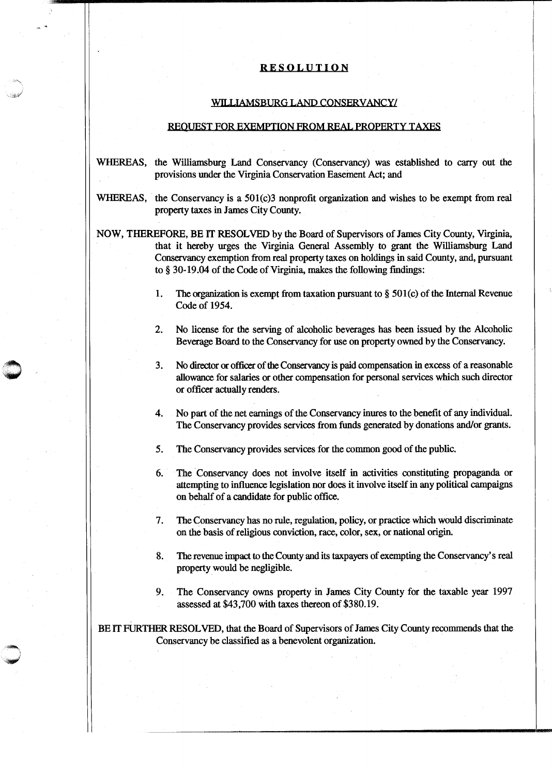## RESOLUTION

## WILLIAMSBURG LAND CONSERVANCY/

## REQUEST FOR EXEMPTION FROM REAL PROPERTY TAXES

- WHEREAS, the Williamsburg Land Conservancy (Conservancy) was established to carry out the provisions under the Virginia Conservation Easement Act; and
- WHEREAS, the Conservancy is a 501(c)3 nonprofit organization and wishes to be exempt from real property taxes in James City County.
- NOW, THEREFORE, BE IT RESOLVED by the Board of Supervisors of James City County, Virginia, that it hereby urges the Virginia General Assembly to grant the Williamsburg Land Conservancy exemption from real property taxes on holdings in said County, and, pursuant to§ 30-19.04 of the Code of Virginia, makes the following findings:
	- 1. The organization is exempt from taxation pursuant to  $\S$  501(c) of the Internal Revenue Code of 1954.
	- 2. No license for the serving of alcoholic beverages has been issued by the Alcoholic Beverage Board to the Conservancy for use on property owned by the Conservancy.
	- 3. No director or officer of the Conservancy is paid compensation in excess of a reasonable allowance for salaries or other compensation for personal services which such director or officer actually renders.
	- 4. No part of the net earnings of the Conservancy inures to the benefit of any individual. The Conservancy provides services from funds generated by donations and/or grants.
	- 5. The Conservancy provides services for the common good of the public.
	- 6. The Conservancy does not involve itself in activities constituting propaganda or attempting to influence legislation nor does it involve itself in any political campaigns on behalf of a candidate for public office.
	- 7. The Conservancy has no rule, regulation, policy, or practice which would discriminate on the basis of religious conviction, race, color, sex, or national origin.
	- 8. The revenue impact to the County and its taxpayers of exempting the Conservancy's real property would be negligible.
	- 9. The Conservancy owns property in James City County for the taxable year 1997 assessed at \$43,700 with taxes thereon of \$380.19.

BE IT FURTHER RESOLVED, that the Board of Supervisors of James City County recommends that the Conservancy be classified as a benevolent organization.